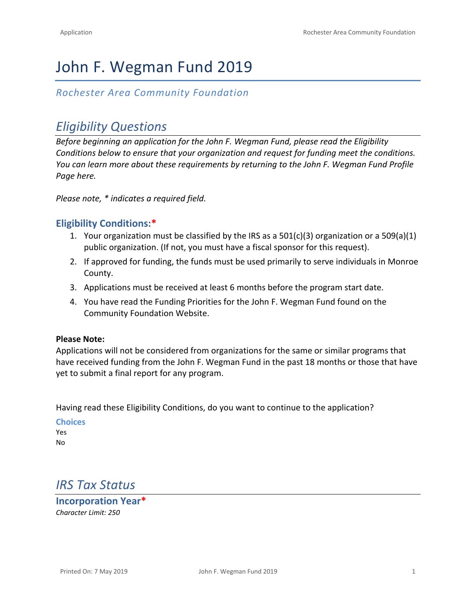# John F. Wegman Fund 2019

## *Rochester Area Community Foundation*

## *Eligibility Questions*

*Before beginning an application for the John F. Wegman Fund, please read the Eligibility Conditions below to ensure that your organization and request for funding meet the conditions. You can learn more about these requirements by returning to the John F. Wegman Fund Profile Page [here.](https://www.racf.org/Grants/Search-for-Grants?ids=%7C1001%7C)* 

*Please note, \* indicates a required field.*

### **Eligibility Conditions:\***

- 1. Your organization must be classified by the IRS as a 501(c)(3) organization or a 509(a)(1) public organization. (If not, you must have a fiscal sponsor for this request).
- 2. If approved for funding, the funds must be used primarily to serve individuals in Monroe County.
- 3. Applications must be received at least 6 months before the program start date.
- 4. You have read the Funding Priorities for the John F. Wegman Fund found on the Community Foundation Website.

#### **Please Note:**

Applications will not be considered from organizations for the same or similar programs that have received funding from the John F. Wegman Fund in the past 18 months or those that have yet to submit a final report for any program.

Having read these Eligibility Conditions, do you want to continue to the application?

**Choices** Yes No

## *IRS Tax Status*

**Incorporation Year\*** *Character Limit: 250*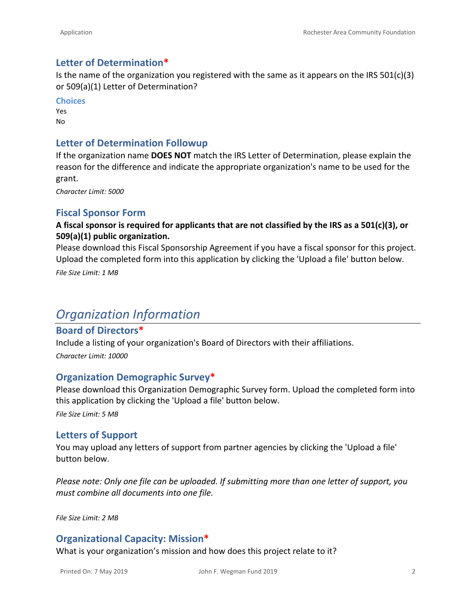### **Letter of Determination\***

Is the name of the organization you registered with the same as it appears on the IRS  $501(c)(3)$ or 509(a)(1) Letter of Determination?

**Choices** Yes No

### **Letter of Determination Followup**

If the organization name **DOES NOT** match the IRS Letter of Determination, please explain the reason for the difference and indicate the appropriate organization's name to be used for the grant.

*Character Limit: 5000*

### **Fiscal Sponsor Form**

### **A fiscal sponsor is required for applicants that are not classified by the IRS as a 501(c)(3), or 509(a)(1) public organization.**

Please download this [Fiscal Sponsorship Agreement i](https://www.racf.org/Portals/0/Uploads/Documents/Grants/Forms/Fiscal-Sponsorship-Form.docx)f you have a fiscal sponsor for this project. Upload the completed form into this application by clicking the 'Upload a file' button below.

*File Size Limit: 1 MB*

## *Organization Information*

### **Board of Directors\***

Include a listing of your organization's Board of Directors with their affiliations. *Character Limit: 10000*

### **Organization Demographic Survey\***

Please download this [Organization Demographic Survey](https://www.racf.org/Portals/0/Uploads/Documents/Grants/Forms/Organization-Demographic-Survey-2018.docx) form. Upload the completed form into this application by clicking the 'Upload a file' button below.

*File Size Limit: 5 MB*

### **Letters of Support**

You may upload any letters of support from partner agencies by clicking the 'Upload a file' button below.

*Please note: Only one file can be uploaded. If submitting more than one letter of support, you must combine all documents into one file.* 

*File Size Limit: 2 MB*

### **Organizational Capacity: Mission\***

What is your organization's mission and how does this project relate to it?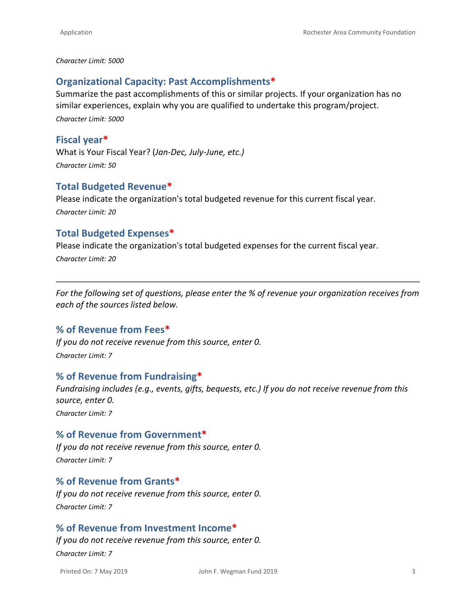#### *Character Limit: 5000*

### **Organizational Capacity: Past Accomplishments\***

Summarize the past accomplishments of this or similar projects. If your organization has no similar experiences, explain why you are qualified to undertake this program/project. *Character Limit: 5000*

#### **Fiscal year\***

What is Your Fiscal Year? (*Jan-Dec, July-June, etc.) Character Limit: 50*

### **Total Budgeted Revenue\***

Please indicate the organization's total budgeted revenue for this current fiscal year. *Character Limit: 20*

### **Total Budgeted Expenses\***

Please indicate the organization's total budgeted expenses for the current fiscal year. *Character Limit: 20*

*For the following set of questions, please enter the % of revenue your organization receives from each of the sources listed below.* 

### **% of Revenue from Fees\***

*If you do not receive revenue from this source, enter 0. Character Limit: 7*

### **% of Revenue from Fundraising\***

*Fundraising includes (e.g., events, gifts, bequests, etc.) If you do not receive revenue from this source, enter 0.*

*Character Limit: 7*

**% of Revenue from Government\*** *If you do not receive revenue from this source, enter 0. Character Limit: 7*

### **% of Revenue from Grants\***

*If you do not receive revenue from this source, enter 0. Character Limit: 7*

### **% of Revenue from Investment Income\***

*If you do not receive revenue from this source, enter 0. Character Limit: 7*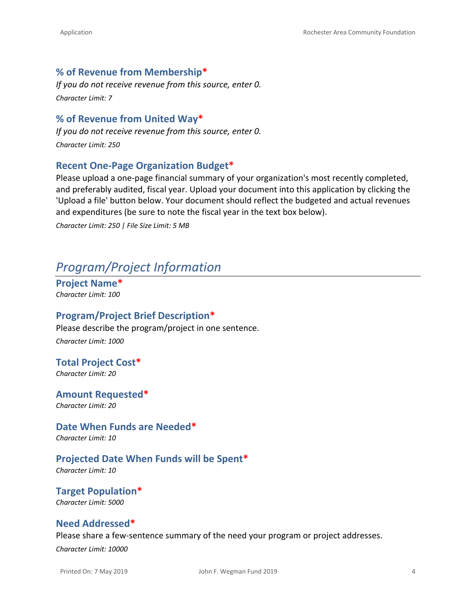### **% of Revenue from Membership\***

*If you do not receive revenue from this source, enter 0. Character Limit: 7*

### **% of Revenue from United Way\***

*If you do not receive revenue from this source, enter 0. Character Limit: 250*

### **Recent One-Page Organization Budget\***

Please upload a one-page financial summary of your organization's most recently completed, and preferably audited, fiscal year. Upload your document into this application by clicking the 'Upload a file' button below. Your document should reflect the budgeted and actual revenues and expenditures (be sure to note the fiscal year in the text box below).

*Character Limit: 250 | File Size Limit: 5 MB*

## *Program/Project Information*

**Project Name\*** *Character Limit: 100*

### **Program/Project Brief Description\***

Please describe the program/project in one sentence.

*Character Limit: 1000*

## **Total Project Cost\***

*Character Limit: 20*

**Amount Requested\*** *Character Limit: 20*

**Date When Funds are Needed\*** *Character Limit: 10*

## **Projected Date When Funds will be Spent\***

*Character Limit: 10*

**Target Population\*** *Character Limit: 5000*

### **Need Addressed\***

Please share a few-sentence summary of the need your program or project addresses.

*Character Limit: 10000*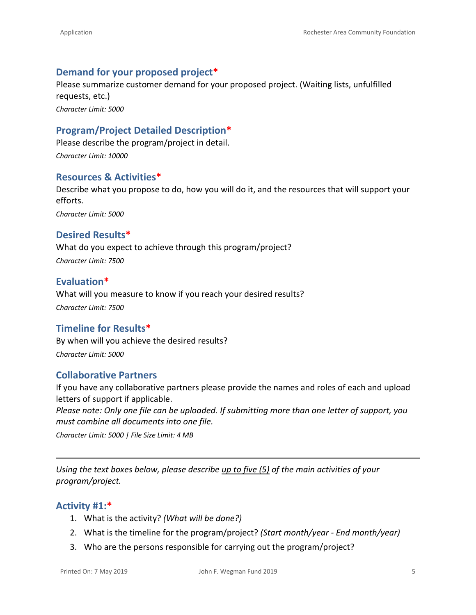## **Demand for your proposed project\***

Please summarize customer demand for your proposed project. (Waiting lists, unfulfilled requests, etc.) *Character Limit: 5000*

**Program/Project Detailed Description\***

Please describe the program/project in detail. *Character Limit: 10000*

### **Resources & Activities\***

Describe what you propose to do, how you will do it, and the resources that will support your efforts. *Character Limit: 5000*

## **Desired Results\***

What do you expect to achieve through this program/project? *Character Limit: 7500*

### **Evaluation\***

What will you measure to know if you reach your desired results? *Character Limit: 7500*

### **Timeline for Results\***

By when will you achieve the desired results? *Character Limit: 5000*

## **Collaborative Partners**

If you have any collaborative partners please provide the names and roles of each and upload letters of support if applicable.

*Please note: Only one file can be uploaded. If submitting more than one letter of support, you must combine all documents into one file.*

*Character Limit: 5000 | File Size Limit: 4 MB*

*Using the text boxes below, please describe up to five (5) of the main activities of your program/project.*

### **Activity #1:\***

- 1. What is the activity? *(What will be done?)*
- 2. What is the timeline for the program/project? *(Start month/year End month/year)*
- 3. Who are the persons responsible for carrying out the program/project?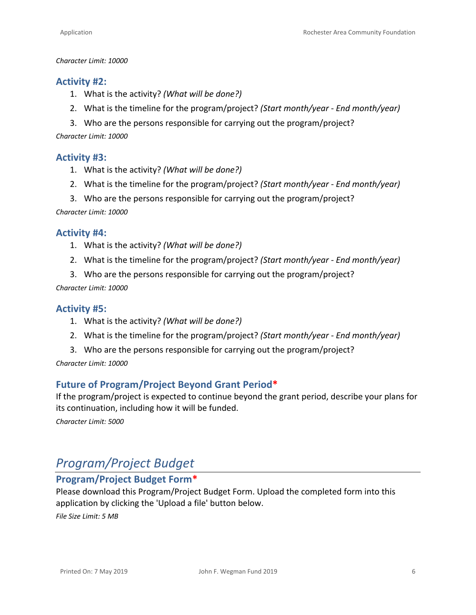#### *Character Limit: 10000*

### **Activity #2:**

- 1. What is the activity? *(What will be done?)*
- 2. What is the timeline for the program/project? *(Start month/year End month/year)*
- 3. Who are the persons responsible for carrying out the program/project?

*Character Limit: 10000*

### **Activity #3:**

- 1. What is the activity? *(What will be done?)*
- 2. What is the timeline for the program/project? *(Start month/year End month/year)*
- 3. Who are the persons responsible for carrying out the program/project?

*Character Limit: 10000*

#### **Activity #4:**

- 1. What is the activity? *(What will be done?)*
- 2. What is the timeline for the program/project? *(Start month/year End month/year)*
- 3. Who are the persons responsible for carrying out the program/project?

#### *Character Limit: 10000*

### **Activity #5:**

- 1. What is the activity? *(What will be done?)*
- 2. What is the timeline for the program/project? *(Start month/year End month/year)*
- 3. Who are the persons responsible for carrying out the program/project?

*Character Limit: 10000*

### **Future of Program/Project Beyond Grant Period\***

If the program/project is expected to continue beyond the grant period, describe your plans for its continuation, including how it will be funded.

*Character Limit: 5000*

## *Program/Project Budget*

## **Program/Project Budget Form\***

Please download this [Program/Project Budget Form.](https://www.racf.org/Portals/0/Uploads/Documents/Grants/Forms/Project-Budget-Form.xlsx) Upload the completed form into this application by clicking the 'Upload a file' button below.

*File Size Limit: 5 MB*